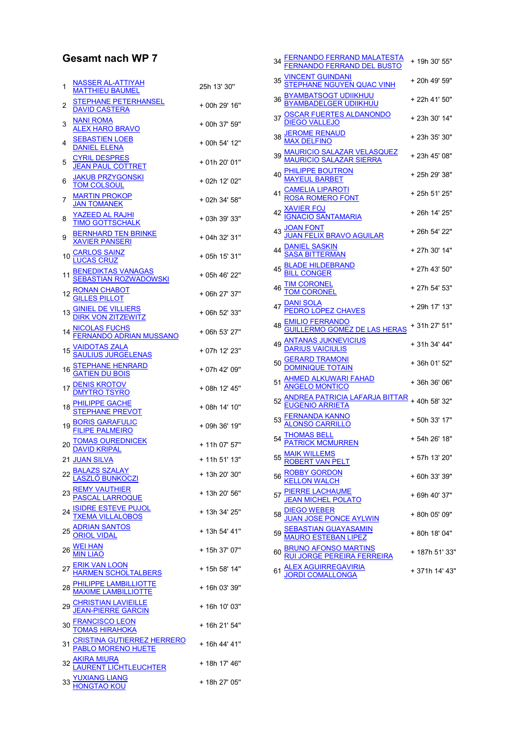## Gesamt nach WP 7

| 1  | <b>NASSER AL-ATTIYAH</b><br><b>MATTHIEU BAUMEL</b>                                                                     | 25h 13' 30"   |
|----|------------------------------------------------------------------------------------------------------------------------|---------------|
| 2  | <b>STEPHANE PETERHANSEL</b><br><b>DAVID CASTERA</b>                                                                    | + 00h 29' 16" |
| 3  | NANI ROMA<br><u>ALEX HARO BRAVO</u>                                                                                    | + 00h 37' 59" |
| 4  | <b>SEBASTIEN LOEB</b><br>DANIEL ELENA                                                                                  | + 00h 54' 12" |
| 5  | <b>CYRIL DESPRES</b><br><b>JEAN PAUL COTTRET</b>                                                                       | + 01h 20' 01" |
| 6  | <b>JAKUB PRZYGONSKI</b><br><b>TOM COLSOUL</b>                                                                          | + 02h 12' 02" |
| 7  | <b>MARTIN PROKOP</b><br>JAN TOMANEK                                                                                    | + 02h 34' 58" |
| 8  | YAZEED AL RAJHI<br>TIMO GOTTSCHALK                                                                                     | + 03h 39' 33" |
| 9  | <b>BERNHARD TEN BRINKE</b><br><b>KAVIER PANSERI</b>                                                                    | + 04h 32' 31" |
| 10 | <u>CARLOS SAINZ</u><br>LUCAS CRUZ                                                                                      | + 05h 15' 31" |
| 11 | <u>BENEDIKTAS VANAGAS</u><br><u>SEBASTIAN ROZWADOWSKI</u>                                                              | + 05h 46' 22" |
| 12 | RONAN CHABOT<br>GILLES PILLOT                                                                                          | + 06h 27' 37" |
| 13 | <b>GINIEL DE VILLIERS<br/>DIRK VON ZITZEWITZ</b>                                                                       | + 06h 52' 33" |
| 14 | <u>NICOLAS FUCHS</u><br>FERN <u>ANDO ADRIAN MUSSANO</u>                                                                | + 06h 53' 27" |
| 15 | <u>VAIDOTAS ZALA</u><br><u>SAULIUS JURGELENAS</u>                                                                      | + 07h 12' 23" |
| 16 | <u>STEPHANE HENRARD</u><br><u>GATIEN DU BOIS</u>                                                                       | + 07h 42' 09" |
| 17 | <b>DENIS KROTOV</b><br>TRO TSYRO                                                                                       | + 08h 12' 45" |
| 18 | HILIPPE GACHE<br>TEPHANE PREVOT                                                                                        | + 08h 14' 10" |
| 19 | <b>BORIS GARAFULIC</b><br><b>IPE PALMEIRO</b>                                                                          | + 09h 36' 19" |
| 20 | <u>TOMAS OUREDNICEK</u><br><u>DAVID KRIPAL</u>                                                                         | + 11h 07' 57" |
|    | 21 JUAN SILVA                                                                                                          | + 11h 51' 13" |
|    | 22 BALAZS SZALAY<br><u>LASZLÓ BUNKOCZI</u>                                                                             | + 13h 20' 30" |
| 23 | <u>REMY VAUTHIER</u><br><mark>PASCAL LARROQUE</mark>                                                                   | + 13h 20' 56" |
| 24 | <u>ISIDRE ESTEVE PUJOL</u><br><u>TXEMA VILLALOBOS</u>                                                                  | + 13h 34' 25" |
| 25 | <u>ADRIAN SANTOS</u><br>ORIOL VIDAL                                                                                    | + 13h 54' 41" |
| 26 |                                                                                                                        | + 15h 37' 07" |
|    | 27 <u>ERIK VAN LOON</u><br><u>HARMEN SCHOLTALBERS</u><br>28 <u>PHILIPPE LAMBILLIOTTE</u><br><u>MAXIME LAMBILLIOTTE</u> | + 15h 58' 14" |
|    |                                                                                                                        | + 16h 03' 39" |
| 29 | <u>CHRISTIAN LAVIEILLE</u><br><u>JEAN-PIERRE GARCIN</u>                                                                | + 16h 10' 03" |
|    | <b>FRANCISCO LEON<br/>TOMAS HIRAHOKA</b>                                                                               | + 16h 21' 54" |
| 31 | <u>CRISTINA GUTIERREZ HERRERO</u><br><u>PABLO MORENO HUETE</u><br>JUCO JULIO I                                         | + 16h 44' 41" |
|    | <u>AKIRA MIURA</u><br><u>LAURENT LICHTLEUCHTER</u><br><u>YUXIANG LIANG</u><br>HONGTAO KOU                              | + 18h 17' 46" |
|    |                                                                                                                        | + 18h 27' 05" |

|    | <u>FERNANDO FERRAND MALATESTA</u><br>FERNANDO FERRAND DEL BUSTO                                                                                                                                                                                                                                                 | + 19h 30' 55"  |
|----|-----------------------------------------------------------------------------------------------------------------------------------------------------------------------------------------------------------------------------------------------------------------------------------------------------------------|----------------|
| 35 |                                                                                                                                                                                                                                                                                                                 | + 20h 49' 59"  |
| 36 | VINCENT GUINDANI<br>STEPHANE NGUYEN QUAC VINH<br>BYAMBATSOGT UDIIKHUU<br>BYAMBADELGER UDIIKHUU                                                                                                                                                                                                                  | + 22h 41' 50"  |
|    | <u>OSCAR FUERTES ALDANONDO</u><br><u>DIEGO VALLEJO</u><br><u>JEROME RENAUD</u><br>MAX DELFINO                                                                                                                                                                                                                   | + 23h 30' 14"  |
| 38 |                                                                                                                                                                                                                                                                                                                 | + 23h 35' 30"  |
|    | MAX DELFINO<br>39 <u>MAURICIO SALAZAR VELASQUEZ</u><br><u>MAURICIO SALAZAR SIERRA</u><br>40 <u>MAYEUL BARBET</u>                                                                                                                                                                                                | + 23h 45' 08"  |
|    |                                                                                                                                                                                                                                                                                                                 | + 25h 29' 38"  |
|    |                                                                                                                                                                                                                                                                                                                 | + 25h 51' 25"  |
|    | 41 <u>CAMELIA LIPAROTI</u><br>42 <u>XAVIER FOJ</u><br>42 <u>XAVIER FOJ</u><br>43 <u>JOAN FONT</u><br>43 <u>JOAN FONT</u><br>43 <u>JOAN FELIX BRAVO AGUILAR</u><br>44 <u>DANIEL SASKIN</u><br>5ASA BITTERMAN<br>45 <u>BLADE HILDEBRAND</u><br>45 <u>BLADE HILDEBRAND</u>                                         | + 26h 14' 25"  |
|    |                                                                                                                                                                                                                                                                                                                 | + 26h 54' 22"  |
|    |                                                                                                                                                                                                                                                                                                                 | + 27h 30' 14"  |
|    |                                                                                                                                                                                                                                                                                                                 | + 27h 43' 50"  |
|    |                                                                                                                                                                                                                                                                                                                 | + 27h 54' 53"  |
|    | 46<br>T <u>IM CORONEL</u><br>47 <u>PEDRO LOPEZ CHAVES</u><br>48 <u>EMILIO FERRANDO</u><br>48 <u>GUILLERMO GOMEZ DE LAS HERAS</u><br>49 <u>ANTANAS JUKNEVICIUS</u><br>49 <u>ANTANAS JUKNEVICIUS</u>                                                                                                              | + 29h 17' 13"  |
|    |                                                                                                                                                                                                                                                                                                                 | + 31h 27' 51"  |
|    |                                                                                                                                                                                                                                                                                                                 | + 31h 34' 44"  |
| 50 | <u>GERARD TRAMONI</u><br>DOMINIQUE TOTAIN                                                                                                                                                                                                                                                                       | +36h 01' 52"   |
|    |                                                                                                                                                                                                                                                                                                                 |                |
|    |                                                                                                                                                                                                                                                                                                                 |                |
|    | 51<br>AHMED ALKUWARI FAHAD<br>52<br><u>ANDREA PATRICIA LAFARJA BITTAR</u><br>52<br><u>EUGENIO ARRIETA</u><br>53<br><u>ALONSO CARRILLO</u><br>54<br><u>THOMAS BELL</u><br>54<br><u>PATRICK MCMURREN</u><br>54<br>PATRICK MCMURREN<br>54<br>7<br>54<br>7<br>54<br>7<br>54<br>7<br>7<br>7<br>7<br>8<br>7<br>54<br> |                |
|    |                                                                                                                                                                                                                                                                                                                 |                |
| 55 | MAIK WILLEMS<br>ROBERT VAN PELT                                                                                                                                                                                                                                                                                 | + 57h 13' 20"  |
| 56 | <u>ROBBY GORDON</u><br>KELLON WALCH                                                                                                                                                                                                                                                                             | + 60h 33' 39"  |
| 57 | <u>PIERRE LACHAUME</u><br><u>JEAN MICHEL POLATO</u>                                                                                                                                                                                                                                                             | + 69h 40' 37"  |
| 58 | <u>DIEGO WEBER</u><br>JUAN <u>JOSE PONCE AYLWIN</u>                                                                                                                                                                                                                                                             | + 80h 05' 09"  |
| 59 | SEBASTIAN GUAYASAMIN<br>MAURO ESTEBAN LIPEZ                                                                                                                                                                                                                                                                     | + 80h 18' 04"  |
| 60 | <u>BRUNO AFONSO MARTINS</u><br><u>RUI JORGE PEREIRA FERREIRA</u>                                                                                                                                                                                                                                                | + 187h 51' 33" |
| 61 | <u>LEX AGUIRREGAVIRIA</u><br>DRDI COMALLONGA                                                                                                                                                                                                                                                                    | + 371h 14' 43" |